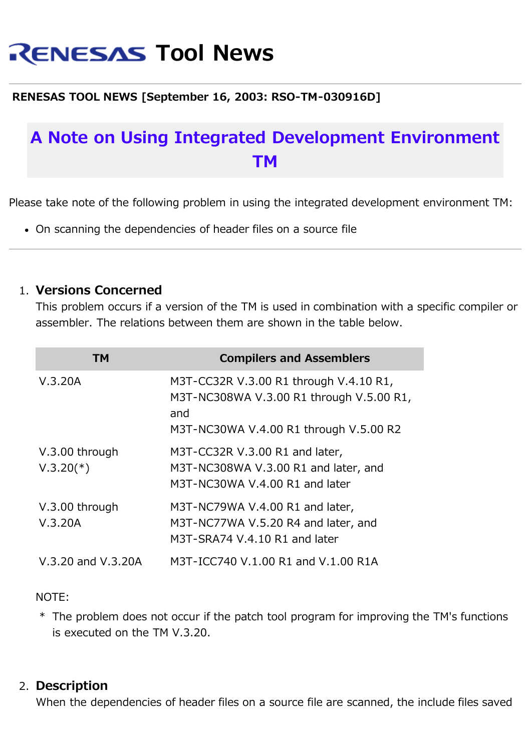# **RENESAS Tool News**

### **RENESAS TOOL NEWS [September 16, 2003: RSO-TM-030916D]**

## **A Note on Using Integrated Development Environment TM**

Please take note of the following problem in using the integrated development environment TM:

On scanning the dependencies of header files on a source file

#### 1. **Versions Concerned**

This problem occurs if a version of the TM is used in combination with a specific compiler or assembler. The relations between them are shown in the table below.

| ТМ                            | <b>Compilers and Assemblers</b>                                                                                                     |
|-------------------------------|-------------------------------------------------------------------------------------------------------------------------------------|
| V.3.20A                       | M3T-CC32R V.3.00 R1 through V.4.10 R1,<br>M3T-NC308WA V.3.00 R1 through V.5.00 R1,<br>and<br>M3T-NC30WA V.4.00 R1 through V.5.00 R2 |
| V.3.00 through<br>$V.3.20(*)$ | M3T-CC32R V.3.00 R1 and later,<br>M3T-NC308WA V.3.00 R1 and later, and<br>M3T-NC30WA V.4.00 R1 and later                            |
| V.3.00 through<br>V.3.20A     | M3T-NC79WA V.4.00 R1 and later,<br>M3T-NC77WA V.5.20 R4 and later, and<br>M3T-SRA74 V.4.10 R1 and later                             |
| V.3.20 and V.3.20A            | M3T-ICC740 V.1.00 R1 and V.1.00 R1A                                                                                                 |

#### NOTE:

\* The problem does not occur if the patch tool program for improving the TM's functions is executed on the TM V.3.20.

#### 2. **Description**

When the dependencies of header files on a source file are scanned, the include files saved